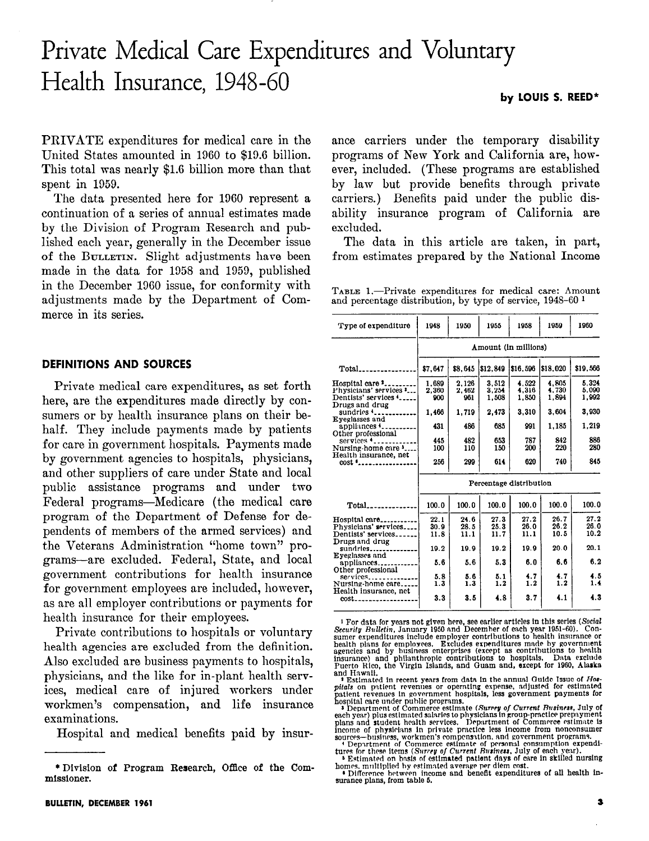# Private Medical Care Expenditures and Voluntary Health Insurance, 1948-60

PRIVATE expenditures for medical care in the United States amounted in 1960 to \$19.6 billion. This total was nearly \$1.6 billion more than that spent in 1059.

The data presented here for 1060 represent a continuation of a series of annual estimates made by the Division of Program Research and published each year, generally in the December issue of the BULLETIN. Slight adjustments have been made in the data for 1958 and 1050, published in the December 1960 issue, for conformity with adjustments made by the Department of Commerce in its series.

#### DEFINITIONS AND SOURCES

Private medical care expenditures, as set forth here, are the expenditures made directly by consumers or by health insurance plans on their behalf. They include payments made by patients for care in government hospitals. Payments made by government agencies to hospitals, physicians, and other suppliers of care under State and local public assistance programs and under two Federal programs-Medicare (the medical care program of the Department of Defense for dependents of members of the armed services) and the Veterans Administration "home town" proexcellent are excellent are excluded. Federal, State, and local local local local local local local local local local local local local local local local local local local local local local local local local local local lo grams are excluded. Federal, state, and local government contributions for health insurance for government employees are included, however, as are all employer contributions or payments for health insurance for their employees.

Private contributions to hospitals or voluntary health agencies are excluded from the definition. Also excluded are business payments to hospitals, physicians, and the like for in-plant health services, medical care of injured workers under workmen's compensation, and life insurance examinations.<br>Hospital and medical benefits paid by insur-

ance carriers under the temporary disability programs of New York and California are, however, included. (These programs are established by law but provide benefits through private carriers.) Benefits paid under the public disability insurance program of California are excluded.

The data in this article are taken, in part, from estimates prepared by the National Income

TABLE 1.-Private expenditures for medical care: Amount and percentage distribution, by type of service, 1948-60 1

| Type of expenditure                                                                                                                                                                                                                        | 1948                    | 1950    | 1955     | 1958     | 1959     | 1960             |  |  |
|--------------------------------------------------------------------------------------------------------------------------------------------------------------------------------------------------------------------------------------------|-------------------------|---------|----------|----------|----------|------------------|--|--|
|                                                                                                                                                                                                                                            | Amount (in millions)    |         |          |          |          |                  |  |  |
|                                                                                                                                                                                                                                            | \$7.647                 | \$8.645 | \$12,849 | \$16.596 | \$18.020 | \$19,566         |  |  |
| Hospital care "                                                                                                                                                                                                                            | 1.689                   | 2.126   | 3.512    | 4.522    | 4,805    | 5.324            |  |  |
| Physicians' services '                                                                                                                                                                                                                     | 2.360                   | 2.462   | 3.254    | 4,316    | 4,730    | 5.090            |  |  |
| Dentists' services '                                                                                                                                                                                                                       | 900                     | 961     | 1,508    | 1,850    | 1,894    | 1,992            |  |  |
| Drugs and drug<br>sundries <b>f</b> <sub>c</sub> .<br>Eveglasses and                                                                                                                                                                       | 1,466                   | 1.719   | 2,473    | 3.310    | 3.604    | 3.930            |  |  |
| appliances $\mathbf{L}_{\text{max}}$<br>Other professional                                                                                                                                                                                 | 431                     | 486     | 685      | 991      | 1.185    | 1.219            |  |  |
| $s$ ervices $\mathbf{L}_{\text{source}}$                                                                                                                                                                                                   | 445                     | 482     | 653      | 787      | 842      | 886              |  |  |
| Nursing-home care '                                                                                                                                                                                                                        | 100                     | 110     | 150      | 200      | 220      | 280              |  |  |
| Health insurance, net                                                                                                                                                                                                                      |                         |         |          |          |          |                  |  |  |
|                                                                                                                                                                                                                                            | 256                     | 299     | 614      | 620      | 740      | 845              |  |  |
|                                                                                                                                                                                                                                            | Percentage distribution |         |          |          |          |                  |  |  |
| $Total$ <sub>2</sub> = $2.2$ = $2.2$ = $2.2$ = $2.2$ = $2.2$ $2.2$ $2.2$ $2.2$ $2.2$ $2.2$ $2.2$ $2.2$ $2.2$ $2.2$ $2.2$ $2.2$ $2.2$ $2.2$ $2.2$ $2.2$ $2.2$ $2.2$ $2.2$ $2.2$ $2.2$ $2.2$ $2.2$ $2.2$ $2.2$ $2.2$ $2.2$ $2.2$ $2.2$ $2.2$ | 100.0                   | 100.0   | 100.0    | 100.0    | 100.0    | 100.0            |  |  |
| Hospital care                                                                                                                                                                                                                              | 22.1                    | 24.6    | 27.3     | 27.2     | 26.7     | 27.2             |  |  |
| Physicians' services                                                                                                                                                                                                                       | 30.9                    | 28.5    | 25.3     | 26.0     | 26.2     | 26.0             |  |  |
| Dentists' services                                                                                                                                                                                                                         | 11.8                    | 11.1    | 11.7     | 11.1     | 10.5     | 10.2             |  |  |
| Drugs and drug                                                                                                                                                                                                                             |                         |         |          |          |          |                  |  |  |
| sundries                                                                                                                                                                                                                                   | 19.2                    | 19.9    | 19.2     | 19.9     | 20.0     | 20.1             |  |  |
| Eyeglasses and                                                                                                                                                                                                                             |                         |         |          |          |          |                  |  |  |
| appliances                                                                                                                                                                                                                                 | 5.6                     | 5.6     | 5.3      | 6.0      | 6.6      | 6.2              |  |  |
| Other professional                                                                                                                                                                                                                         |                         |         |          |          |          |                  |  |  |
| $s$ ervices                                                                                                                                                                                                                                | 5.8                     | 5.6     | 5.1      | 4.7      | 4.7      | 4.5              |  |  |
| Nursing-home care                                                                                                                                                                                                                          | 1.3                     | 1.3     | 1.2      | 1.2      | 1.2      | 1.4 <sub>1</sub> |  |  |
| Health insurance, net                                                                                                                                                                                                                      | 3.3                     | 3.5     | 4.8      | 3.7      | 4.1      | 4.3              |  |  |
| $cost_{\texttt{3000}}$                                                                                                                                                                                                                     |                         |         |          |          |          |                  |  |  |

<sup>1</sup> For data for years not given here, see earlier articles in this series (*Socia*<br>*Security Bulletin*, January 1950 and December of each year 1951-60). Con<br>sumer expenditures include employer contributions to health ins

by LOUIS S. REED\*

<sup>\*</sup> Division of Program Research, Office of the Commissioner.

**The model of the community of the state of Host Paylet and Schick on points of the pitals on partient revenues or operating expenses, adjusted for estimated position and the payment payments for a Department of Commerce e**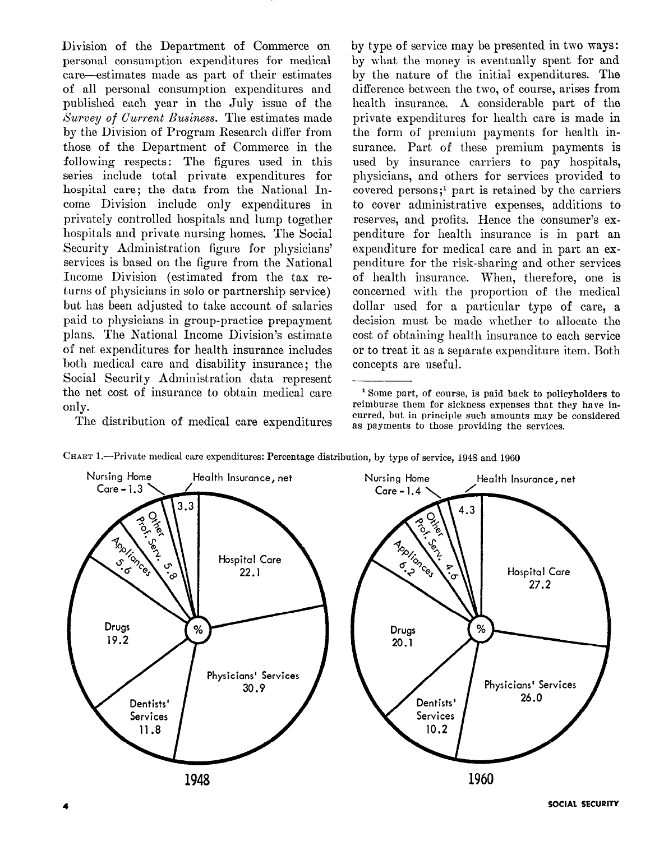Division of the Department of Commerce on personal consumption expenditures for medical care-estimates made as part of their estimates of all personal consumption expenditures and published each year in the July issue of the Survey of Current Business. The estimates made by the Division of Program Research differ from those of the Department of Commerce in the following respects: The figures used in this series include total private expenditures for hospital care; the data from the National Income Division include only expenditures in privately controlled hospitals and lump together hospitals and private nursing homes. The Social Security Administration figure for physicians' services is based on the figure from the National Income Division (estimated from the tax returns of physicians in solo or partnership service) but has been adjusted to take account of salaries paid to physicians in group-practice prepayment plans. The National Income Division's estimate of net expenditures for health insurance includes both medical care and disability insurance; the Social Security Administration data represent the net cost of insurance to obtain medical care only. The distribution of medical care expenditures by type of service may be presented in two ways: by what the money is eventually spent for and by the nature of the initial expenditures. The difference between the two, of course, arises from health insurance. A considerable part of the private expenditures for health care is made in the form of premium payments for health insurance. Part of these premium payments is used by insurance carriers to pay hospitals, physicians, and others for services provided to covered persons;' part is retained by the carriers to cover administrative expenses, additions to reserves, and profits. Hence the consumer's expenditure for health insurance is in part an expenditure for medical care and in part an expenditure for the risk-sharing and other services of health insurance. When, therefore, one is concerned with the proportion of the medical dollar used for a particular type of care, a decision must be made whether to allocate the cost of obtaining health insurance to each service or to treat it as a separate expenditure item. Both concepts are useful.



<sup>1</sup> Some part, of course, is paid back to policyholders to reimburse them for sickness expenses that they have incurred, but in principle such amounts may be considered as payments to those providing the services.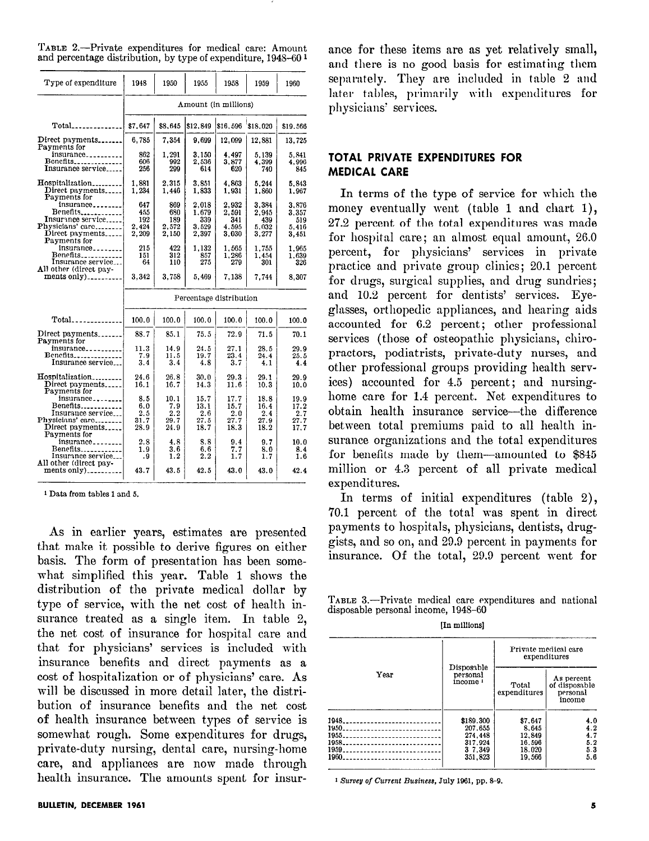TABLE 2.-Private expenditures for medical care: Amount and percentage distribution, by type of expenditure, 1948-60 <sup>1</sup>

| Type of expenditure                                 | 1948                    | 1950       | 1955                 | 1958       | 1959       | 1960                                                                 |  |  |
|-----------------------------------------------------|-------------------------|------------|----------------------|------------|------------|----------------------------------------------------------------------|--|--|
|                                                     |                         |            | Amount (in millions) |            |            |                                                                      |  |  |
|                                                     | \$7.647                 | \$8,645    | \$12,849             | \$16,596   | \$18.020   | \$19.566                                                             |  |  |
| Direct payments                                     | 6,785                   | 7,354      | 9,699                | 12,099     | 12,881     | 13,725                                                               |  |  |
| Payments for<br>$in$ surance <sub>----------</sub>  | 862                     | 1,291      | 3.150                | 4,497      | 5,139      | 5.841                                                                |  |  |
| Benefits______________                              | 606                     | 992        | 2,536                | 3.877      | 4.399      | 4.996                                                                |  |  |
| Insurance service                                   | 256                     | 299        | 614                  | 620        | 740        | 845                                                                  |  |  |
| Hospitalization                                     | 1.881                   | 2.315      | 3.851                | 4.863      | 5.244      | 5.843                                                                |  |  |
| Direct payments<br>Payments for                     | 1.234                   | 1.446      | 1.833                | 1.931      | 1,860      | 1.967                                                                |  |  |
| $insurance$                                         | 647                     | 869        | 2,018                | 2,932      | 3.384      | 3.876                                                                |  |  |
| Benefits                                            | 455                     | 680        | 1.679                | 2.591      | 2.945      | 3.357                                                                |  |  |
| Insurance service                                   | 192                     | 189        | 339                  | 341        | 439        | 519                                                                  |  |  |
| Physicians' care                                    | 2,424                   | 2,572      | 3.529                | 4.595      | 5.032      | 5,416                                                                |  |  |
| Direct payments<br>Payments for                     | 2,209                   | 2,150      | 2,397                | 3,030      | 3,277      | 3,451                                                                |  |  |
| $insurance_{\texttt{--}--\texttt{--}--\texttt{--}}$ | 215                     | 422        | 1,132                | 1,565      | 1,755      | 1.965                                                                |  |  |
| Benefits <sub>------------</sub>                    | 151                     | 312        | 857                  | 1,286      | 1.454      | 1.639                                                                |  |  |
| Insurance service                                   | 64                      | 110        | 275                  | 279        | 301        | 326                                                                  |  |  |
| All other (direct pay-                              |                         |            |                      |            |            |                                                                      |  |  |
| ments only)                                         | 3.342                   | 3,758      | 5.469                | 7,138      | 7.744      | 8,307                                                                |  |  |
|                                                     | Percentage distribution |            |                      |            |            |                                                                      |  |  |
|                                                     |                         |            |                      |            |            |                                                                      |  |  |
|                                                     |                         |            |                      |            |            |                                                                      |  |  |
|                                                     | 100.0                   | 100.0      | 100.0                | 100.0      | 100.0      |                                                                      |  |  |
| Direct payments<br>Payments for                     | 88.7                    | 85.1       | 75.5                 | 72.9       | 71.5       |                                                                      |  |  |
| insurance                                           | 11.3                    | 14.9       | 24.5                 | 27.1       | 28.5       |                                                                      |  |  |
| Benefits                                            | 7.9                     | 11.5       | 19.7                 | 23.4       | 24.4       |                                                                      |  |  |
| Insurance service                                   | 3.4                     | 3.4        | 4.8                  | 3.7        | 4.1        |                                                                      |  |  |
| Hospitalization                                     | 24.6                    | 26.8       | 30.0                 | 29.3       | 29.1       |                                                                      |  |  |
| Direct payments<br>Payments for                     | 16.1                    | 16.7       | 14.3                 | 11.6       | 10.3       |                                                                      |  |  |
| $insurance_{\texttt{--}--\texttt{--}--\texttt{--}}$ | 8.5                     | 10.1       | 15.7                 | 17.7       | 18.8       |                                                                      |  |  |
| $Bene fits_{\ldots}$                                | 6.0                     | 7.9        | 13.1                 | 15.7       | 16.4       | 100.0<br>70.1<br>29.9<br>25.5<br>4.4<br>29.9<br>10.0<br>19.9<br>17.2 |  |  |
| Insurance service                                   | 2.5                     | 2.2        | 2.6                  | 2.0        | 2.4        |                                                                      |  |  |
|                                                     | 31.7                    | 29.7       | 27.5                 | 27.7       | 27.9       |                                                                      |  |  |
| Physicians' care<br>Direct payments                 | 28.9                    | 24.9       | 18.7                 | 18.3       | 18.2       |                                                                      |  |  |
| Payments for                                        |                         |            |                      |            |            |                                                                      |  |  |
| insurance <sub>raar</sub>                           | $^{2.8}$                | 4.8        | 8.8                  | 9.4        | 9.7        | 2.7<br>27.7<br>17.7<br>10.0                                          |  |  |
| Benefits<br>Insurance service                       | 1.9<br>. 9              | 3.6<br>1.2 | 6.6<br>2.2           | 7.7<br>1.7 | 8.0<br>1.7 | 8.4<br>1.6                                                           |  |  |
| All other (direct pay-<br>ments only)               | 43.7                    |            |                      |            |            |                                                                      |  |  |

1 Data from tnbles 1 and 5.

As in earlier years, estimates are presented that meaning years, estimates are presented that make it possible to derive figures on either basis. The form of presentation has been somewhat simplified this year. Table 1 shows the  $d$  distribution of the private medical dollar by  $d$  dollar by  $d$  dollar by  $d$  dollar by  $d$ the of the private method dollar by type of service, with the net cost of health insurance treated as a single item. In table  $2$ , the net cost of insurance for hospital care and that for physicians' services is included with insurance benefits and direct payments as a cost of hospitalization or of physicians' care. As will be discussed in more detail later, the distribution of insurance benefits and the net cost of health insurance between types of service is somewhat rough. Some expenditures for drugs. private-duty nursing, dental care, nursing-home care, and appliances are now made through health insurance. The amounts spent for insurance for these items are as yet relatively small, and there is no good basis for estimating them separately. They are included in table 2 and later tables, primarily with expenditures for physicians' services.

### TOTAL PRIVATE EXPENDITURES FOR MEDICAL CARE

In terms of the type of service for which the money eventually went (table 1 and chart 1), 27.2 percent of the total expenditures was made for hospital care; an almost equal amount, 26.0 percent, for physicians' services in private practice and private group clinics; 20.1 percent for drugs, surgical supplies, and drug sundries; and 10.2 percent for dentists' services. Eyeglasses, orthopedic appliances, and hearing aids accounted for 6.2 percent; other professional services (those of osteopathic physicians, chiropractors, podiatrists, private-duty nurses, and other professional groups providing health services) accounted for 4.5 percent; and nursinghome care for 1.4 percent. Net expenditures to obtain health insurance service-the difference between total premiums paid to all health insurance organizations and the total expenditures for benefits made by them-amounted to \$845 million or 4.3 percent of all private medical expenditures.

In terms of initial expenditures (table 2), 70.1 percent of the total was spent in direct percent of the total was spent in three payments to nospitals, physicials, dentists, druggists, and so on, and 29.9 percent in payments for<br>insurance. Of the total, 29.9 percent went for

 $1$  ABLE 3.— $1$  rivate medical care disposable personal income, 1948–60<br>In millions]

|                                                                          |                                                                  | Private medical care<br>expenditures                     |                                                   |  |  |
|--------------------------------------------------------------------------|------------------------------------------------------------------|----------------------------------------------------------|---------------------------------------------------|--|--|
| Year                                                                     | Disposable<br>personal<br>income <sup>1</sup>                    | Total<br>expenditures                                    | As percent<br>of disposable<br>personal<br>income |  |  |
| 1948<br>1950<br>1955<br>1958<br>1959<br>1960.<br>----------------------- | \$189,300<br>207.655<br>274.448<br>317.924<br>3 7.349<br>351.823 | \$7,647<br>8.645<br>12.849<br>16.596<br>18.020<br>19.566 | 4.0<br>4.2<br>4.7<br>5.2<br>5.3<br>5.6            |  |  |

<sup>1</sup> Survey of Current Business, July 1961, pp. 8-9.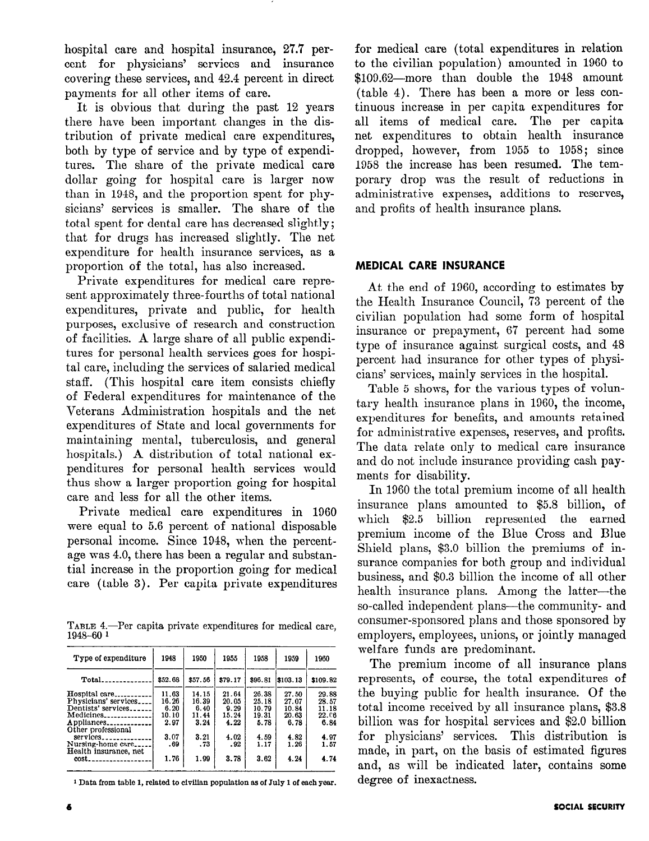hospital care and hospital insurance, 27.7 percent for physicians' services and insurance covering these services, and 42.4 percent in direct payments for all other items of care.

It is obvious that during the past 12 years there have been important changes in the distribution of private medical care expenditures, both by type of service and by type of expenditures. The share of the private medical care dollar going for hospital care is larger now than in 1948, and the proportion spent for physicians' services is smaller. The share of the total spent for dental care has decreased slightly; that for drugs has increased slightly. The net expenditure for health insurance services, as a proportion of the total, has also increased.

Private expenditures for medical care represent approximately three-fourths of total national expenditures, private and public, for health purposes, exclusive of research and construction of facilities. A large share of all public expenditures for personal health services goes for hospital care, including the services of salaried medical staff. (This hospital care item consists chiefly of Federal expenditures for maintenance of the Veterans Administration hospitals and the net expenditures of State and local governments for maintaining mental, tuberculosis, and general hospitals.) A distribution of total national expenditures for personal health services would thus show a larger proportion going for hospital care and less for all the other items.

Private medical care expenditures in 1960 were equal to 5.6 percent of national disposable personal income. Since 1948, when the percentage was 4.0, there has been a regular and substantial increase in the proportion going for medical care (table 3). Per capita private expenditures

1ABLE 4.-

| Type of expenditure                        | 1948    | 1950    | 1955    | 1958    | 1959     | 1960     |
|--------------------------------------------|---------|---------|---------|---------|----------|----------|
| $Total$ <sub>-----------</sub>             | \$52.68 | \$57.56 | \$79.17 | \$96.81 | \$103.13 | \$109.82 |
| Hospital care                              | 11.63   | 14.15   | 21.64   | 26.38   | 27.50    | 29.88    |
| Physicians' services                       | 16.26   | 16.39   | 20.05   | 25.18   | 27.07    | 28.57    |
| Dentists' services                         | 6.20    | 6.40    | 9.29    | 10.79   | 10.84    | 11.18    |
| $Medicines$ <sub>--------------</sub>      | 10.10   | 11.44   | 15.24   | 19.31   | 20.63    | 22.06    |
| Appliances<br>Other professional           | 2.97    | 3.24    | 4.22    | 5.78    | 6.78     | 6.84     |
| $s$ ervices                                | 3.07    | 3.21    | 4.02    | 4.59    | 4.82     | 4.97     |
| Nursing-home care<br>Health insurance, net | .69     | .73     | .92     | 1.17    | 1.26     | 1.57     |
| cost.<br>-----------                       | 1.76    | 1.99    | 3.78    | 3.62    | 4.24     | 4.74     |

<sup>1</sup> Data from table 1, related to civilian population as of July 1 of each year.

for medical care (total expenditures in relation to the civilian population) amounted in 1960 to \$109.62-more than double the 1948 amount (table 4). There has been a more or less continuous increase in per capita expenditures for all items of medical care. The per capita net expenditures to obtain health insurance dropped, however, from 1955 to 1958; since 1958 the increase has been resumed. The temporary drop was the result of reductions in administrative expenses, additions to reserves, and profits of health insurance plans.

## MEDICAL CARE INSURANCE

At the end of 1960, according to estimates by the Health Insurance Council, '73 percent of the civilian population had some form of hospital insurance or prepayment, 67 percent had some type of insurance against surgical costs, and 48 percent had insurance for other types of physicians' services, mainly services in the hospital.

Table 5 shows, for the various types of voluntary health insurance plans in 1960, the income, expenditures for benefits, and amounts retained for administrative expenses, reserves, and profits. The data relate only to medical care insurance and do not include insurance providing cash payments for disability.

welfare funds are predominant. In 1960 the total premium income of all health insurance plans amounted to \$5.8 billion, of which \$2.5 billion represented the earned premium income of the Blue Cross and Blue Shield plans, \$3.0 billion the premiums of insurance companies for both group and individual business companies for both group and murricum health is a more plans of the latter plans. And the latter the latter-theory of the latter of the latter the latterso-called independent plans-the community- and contained the communityso cancel macpenacine plans and community- and consumer-sponsored plans and those sponsored by employers, employees, unions, or jointly managed

The premium income of all insurance plans represents, of course, the total expenditures of the buying public for health insurance. Of the total income received by all insurance plans, \$3.8 billion was for hospital services and \$2.0 billion for physicians' services. This distribution is made, in part, on the basis of estimated figures and, as will be indicated later, contains some degree of inexactness.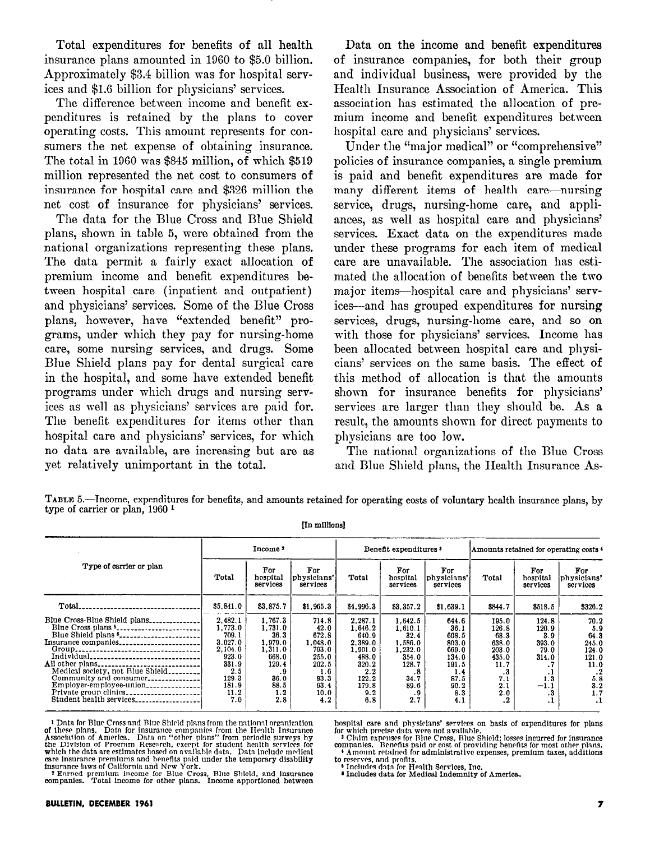Total expenditures for benefits of all health insurance plans amounted in 1060 to \$5.0 billion. Approximately \$3.4 billion was for hospital services and \$1.6 billion for physicians' services.

The difference between income and benefit expenditures is retained by the plans to cover operating costs. This amount represents for consumers the net expense of obtaining insurance. The total in 1060 was \$845 million, of which \$510 million represented the net cost to consumers of insurance for hospital care and \$326 million the net cost of insurance for physicians' services.

The data for the Blue Cross and Blue Shield plans, shown in table 5, mere obtained from the national organizations representing these plans. The data permit a fairly exact allocation of premium income and benefit expenditures between hospital care (inpatient and outpatient) and physicians' services. Some of the Blue Cross plans, however, have "extended benefit" programs, under which they pay for nursing-home care, some nursing services, and drugs. Some Blue Shield plans pay for dental surgical care in the hospital, and some have extended benefit programs under which drugs and nursing services as well as physicians' services are paid for. The benefit expenditures for items other than hospital care and physicians' services, for which no data are available, are increasing but are as yet relatively unimportant in the total.

Data on the income and benefit expenditures of insurance companies, for both their group and individual business, were provided by the Health Insurance Association of America. This association has estimated the allocation of premium income and benefit expenditures between hospital care and physicians' services.

Under the "major medical" or "comprehensive" policies of insurance companies, a single premium is paid and benefit expenditures are made for many different items of health care-nursing service, drugs, nursing-home care, and appliances, as well as hospital care and physicians' services. Exact data on the expenditures made under these programs for each item of medical care are unavailable. The association has estimated the allocation of benefits between the two major items--hospital care and physicians' services-and has grouped expenditures for nursing services, drugs, nursing-home care, and so on with those for physicians' services. Income has been allocated between hospital care and physicians' services on the same basis. The effect of this method of allocation is that the amounts shown for insurance benefits for physicians' services are larger than they should be. As a result, the amounts shown for direct payments to physicians are too low.

The national organizations of the Blue Cross and Blue Shield plans, the Health Insurance As-

TABLE 5.--Tncome, expenditures for benefits, and amounts retained for operating costs of voluntary health insurance plans, by t appear. income, expenditure

[m mIllions]

|                                                                                     |                                                                                                      | Income <sup>2</sup>                                                                              |                                                                                             |                                                                                                     | Benefit expenditures <sup>3</sup>                                                               |                                                                                          |                                                                                      | Amounts retained for operating costs 4                                         |                                                                                          |  |
|-------------------------------------------------------------------------------------|------------------------------------------------------------------------------------------------------|--------------------------------------------------------------------------------------------------|---------------------------------------------------------------------------------------------|-----------------------------------------------------------------------------------------------------|-------------------------------------------------------------------------------------------------|------------------------------------------------------------------------------------------|--------------------------------------------------------------------------------------|--------------------------------------------------------------------------------|------------------------------------------------------------------------------------------|--|
| Type of carrier or plan                                                             | Total                                                                                                | For<br>hospital<br>services                                                                      | For<br>physicians'<br>services                                                              | Total                                                                                               | For<br>hospital<br>services                                                                     | For<br>physicians'<br>services                                                           | Total                                                                                | For<br>hospital<br>services                                                    | For<br>physicians'<br>services                                                           |  |
| Total                                                                               | \$5.841.0                                                                                            | \$3,875.7                                                                                        | \$1,965.3                                                                                   | \$4,996.3                                                                                           | \$3,357.2                                                                                       | \$1,639.1                                                                                | \$844.7                                                                              | \$518.5                                                                        | \$326.2                                                                                  |  |
| Blue Cross-Blue Shield plans<br>All other plans<br>Medical society, not Blue Shield | 2.482.1<br>1,773.0<br>709.1<br>3.027.0<br>2.104.0<br>923.0<br>331.9<br>2.5<br>129.3<br>181.9<br>11.2 | 1,767.3<br>1,731.0<br>36.3<br>1,979.0<br>1,311.0<br>668.0<br>129.4<br>. 9<br>36.0<br>88.5<br>1.2 | 714.8<br>42.0<br>672.8<br>1,048.0<br>793.0<br>255.0<br>202.5<br>1.6<br>93.3<br>93.4<br>10.0 | 2.287.1<br>1.646.2<br>640.9<br>2,389.0<br>1.901.0<br>488.0<br>320.2<br>2.2<br>122.2<br>179.8<br>9.2 | 1.642.5<br>1.610.1<br>32.4<br>1.586.0<br>1.232.0<br>354.0<br>128.7<br>.8<br>34.7<br>89.6<br>. 9 | 644.6<br>36.1<br>608.5<br>803.0<br>669.0<br>134.0<br>191.5<br>1.4<br>87.5<br>90.2<br>8.3 | 195.0<br>126.8<br>68.3<br>638.0<br>203.0<br>435.0<br>11.7<br>ه.<br>7.1<br>2.1<br>2.0 | 124.8<br>120.9<br>3.9<br>393.0<br>79.0<br>314.0<br>. .<br>. .<br>1.3<br>$-1.1$ | 70.2<br>5.9<br>64.3<br>245.0<br>124.0<br>121.0<br>11.0<br>$\cdot$ 2<br>5.8<br>3.2<br>1.7 |  |

I Data for Blue Cross and Blue Shield plans from the national organization<br>
of these plans. Data for insurance companies from the Health Insurance<br> **Association of America**. Data on "other plans" from periodic surveys by<br> Fract cliential are community of California and New York.<br>
Insurance laws of California and New York.<br>
Insurance laws of California and New York.

national organization<br>the Health Insurance<br>the Health Insurance<br>periodic surveys by<br> $\frac{1}{2}$  and physicians' services on basis of expenditures for plan<br>periodic surveys by<br> $\frac{1}{2}$  Claim expenses for Blue Cross, Blue Shi

Francisco Francisco di Baltimonia di Services, Inc. Inc. Independent Composition of America.

**BULLETIN, DECEMBER 1961**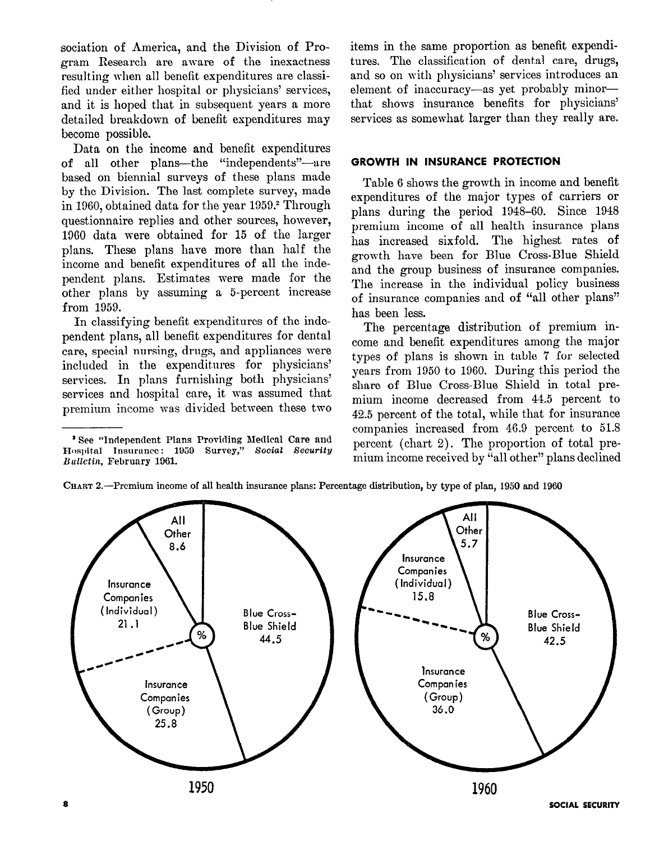socintion of America, and the Division of Program Research are aware of the inexactness resulting when all benefit expenditures are classified under either hospital or physicians' services, and it is hoped that in subsequent years a more detailed breakdown of benefit expenditures may become possible.

Data on the income and benefit expenditures of all other plans-the "independents"-are based on biennial surveys of these plans made by the Division. The last complete survey, made in 1960, obtained data for the year 1959.2 Through questionnaire replies and other sources, however, 1960 data were obtained for 15 of the larger plans. These plans have more than half the income and benefit expenditures of all the independent plans. Estimates mere made for the other plans by assuming a 5-percent increase from 1959.

In classifying benefit expenditures of the independent plans, all benefit expenditures for dental care, special nursing, drugs, and appliances were included in the expenditures for physicians' services. In plans furnishing both physicians' services and hospital care, it was assumed that premium income was divided between these two

items in the same proportion as benefit expenditures. The classification of dental care, drugs, and so on with physicians' services introduces an element of inaccuracy-as yet probably minorthat shows insurance benefits for physicians' services as somewhat larger than they really are.

#### GROWTH IN INSURANCE PROTECTION

Table 6 shows the growth in income and benefit expenditures of the major types of carriers or plans during the period 1948-60. Since 1948 premium income of all health insurance plans has increased sixfold. The highest rates of growth have been for Blue Cross-Blue Shield and the group business of insurance companies. The increase in the individual policy business of insurance companies and of "all other plans" has been less.

The percentage distribution of premium income and benefit expenditures among the major types of plans is shown in table 7 for selected years from 1950 to 1960. During this period the share of Blue Cross-Blue Shield in total premium income decreased from 44.5 percent to 42.5 percent of the total, while that for insurance companies increased from 46.9 percent to 51.8 percent (chart 2). The proportion of total premium income received by "all other" plans declined



CHART 2.-Premium income of all health insurance plans: Percentage distribution, by type of plan, 1950 and 1960

<sup>&#</sup>x27;See "Independent Plans Providing Nedical Care and Hosphurin India Insurance Survey Survey Survey Survey Survey Survey Survey Survey Survey Survey Survey Survey Survey Survey Survey Survey Survey Survey Survey Survey Survey Survey Survey Survey Survey Survey Survey Survey Hospital Insurance. I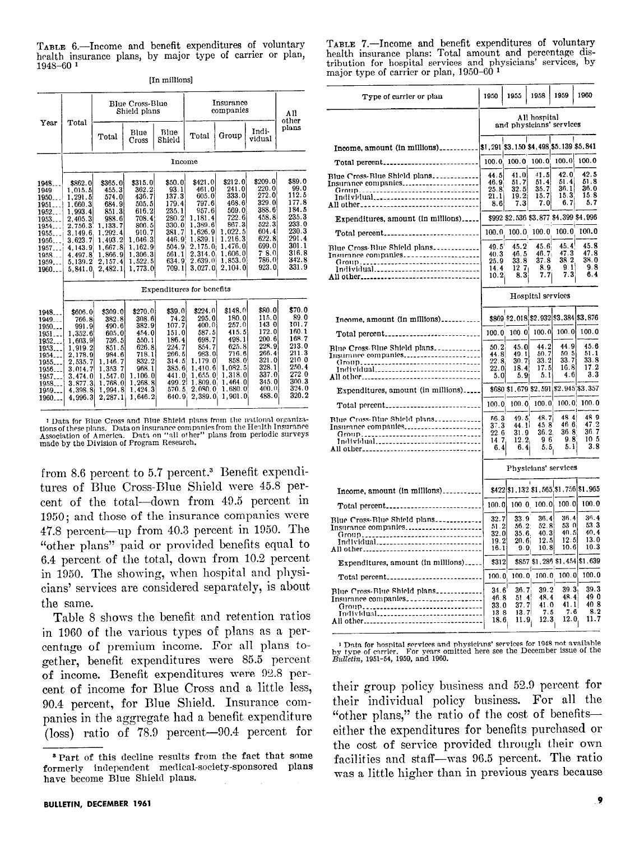TABLE 6.-Income and benefit expenditures of voluntary health insurance plans, by major type of carrier or plan,  $1948 - 60$ <sup>1</sup>

|  |  | [In millions] |  |
|--|--|---------------|--|
|--|--|---------------|--|

|                                                                                                             |                                                                                                                                              |                                                                                                                                   | Blue Cross-Blue<br>Shield plans                                                                                               |                                                                                                                   |                                                                                                                                     | Insurance<br>companies                                                                                                          |                                                                                                                                      | AIl<br>other                                                                                                      |
|-------------------------------------------------------------------------------------------------------------|----------------------------------------------------------------------------------------------------------------------------------------------|-----------------------------------------------------------------------------------------------------------------------------------|-------------------------------------------------------------------------------------------------------------------------------|-------------------------------------------------------------------------------------------------------------------|-------------------------------------------------------------------------------------------------------------------------------------|---------------------------------------------------------------------------------------------------------------------------------|--------------------------------------------------------------------------------------------------------------------------------------|-------------------------------------------------------------------------------------------------------------------|
| Year                                                                                                        | Total                                                                                                                                        | Total                                                                                                                             | Blue<br>Cross                                                                                                                 | Blue<br>Shield                                                                                                    | Total                                                                                                                               | Group                                                                                                                           | Indi-<br>vidual                                                                                                                      | plans                                                                                                             |
|                                                                                                             |                                                                                                                                              |                                                                                                                                   |                                                                                                                               | Income                                                                                                            |                                                                                                                                     |                                                                                                                                 |                                                                                                                                      |                                                                                                                   |
| 1948<br>1949<br>1950<br>1951<br>1952<br>1953<br>1954<br>1955<br>1956.<br>1957<br>1958.<br>1959<br>1960      | \$862.0<br>1.015.5<br>1.291.5<br>1.660.3<br>1.993.4<br>2.405.3<br>2,756.3<br>3,149.6<br>3.623.7<br>4, 143.9<br>4,497.8<br>5,139.2<br>5,841.0 | \$365.0<br>455.3<br>574.0<br>684.9<br>851.3<br>988.6<br>1.133.7<br>1,292.4<br>1,493.2<br>1,667.8<br>1.866.9<br>2,157.4<br>2,482.1 | \$315.0<br>362.2<br>436.7<br>505.5<br>616.2<br>708.4<br>806.5<br>910.7<br>1,046.3<br>1,162.9<br>1,306.3<br>1.522.5<br>1.773.0 | \$50.0<br>93.1<br>137.3<br>179.4<br>235.1<br>280.2<br>330.0<br>381.7<br>446.9<br>504.9<br>561.1<br>634.9<br>709.1 | \$421.0<br>461.0<br>605.0<br>797.6<br>957.6<br>1,181.4<br>1,389.6<br>1.626.9<br>1,839.1<br>2,175.0<br>2,314.0<br>2,639,0<br>3.027.0 | \$212.0<br>241.0<br>333.0<br>468.6<br>569.0<br>722.6<br>867.3<br>1,022.5<br>1.216.3<br>1.476.0<br>1.606.0<br>1,853.0<br>2,104.0 | \$209.0<br>220.0<br>272.0<br>329.0<br>388.6<br>458.8<br>522.3<br>604.4<br>622.8<br>699.0<br>$7^{\circ}8.0^{\circ}$<br>786.0<br>923.0 | \$89.0<br>99.0<br>112.5<br>177.8<br>184.5<br>235.3<br>233.0<br>230.3<br>291.4<br>301.1<br>316.8<br>342.8<br>331.9 |
|                                                                                                             |                                                                                                                                              |                                                                                                                                   |                                                                                                                               | Expenditures for benefits                                                                                         |                                                                                                                                     |                                                                                                                                 |                                                                                                                                      |                                                                                                                   |
| 1948.<br>1949<br>1950<br>1951.<br>1952.<br>1953.<br>1954.<br>1955<br>1956<br>1957.<br>1958.<br>1959<br>1960 | \$606.0<br>766.8<br>991.9<br>1,352.6<br>1,603.9 <br>1,919.2<br>2,178.9<br>2,535.7<br>3.014.7<br>3,474.0<br>3,877.3<br>4,398.8<br>4,996.3     | \$309.0<br>382.8<br>490.6<br>605.0<br>736.5<br>851.5<br>984.6<br>1.146.7<br>1,353.7<br>1,547.0<br>1.768.0<br>1.994.8<br>2,287.1   | \$270,0<br>308.6<br>382.9<br>454.0<br>550.1<br>626.8<br>718.1<br>832.2<br>968.1<br>1.106.0<br>1.268.8<br>1.424.3<br>1.646.2   | \$39.0<br>74.2<br>107.7<br>151.0<br>186.4<br>224.7<br>266.5<br>314.5<br>385.6<br>441.0<br>499.2<br>570.5<br>640.9 | \$224.0<br>295.0<br>400.0<br>587.5<br>698.7<br>854.7<br>983.0<br>1.179.0<br>1.410.6<br>1,655.0<br>1,809.0<br>2.080.0<br>$2,389.0$ i | \$148.0<br>180.0<br>257.0<br>415.5<br>498.1<br>625.8<br>716.6<br>858.0<br>1,082.5<br>1,318.0<br>1.464.0<br>1.680.01<br>1,901.0  | \$80.0<br>115.0<br>143 0<br>172.0<br>200.6<br>228.9<br>266.4<br>321.0<br>328.1<br>337.0<br>345.0<br>400.0<br>488.0                   | \$70.0<br>89.0<br>101.7<br>160.1<br>168.7<br>213.0<br>211.3<br>210.0<br>250.4<br>272.0<br>300.3<br>324.0<br>320.2 |

<sup>&</sup>lt;sup>1</sup> Data for Blue Cross and Blue Shield plans from the national organiza-<sup>1</sup> Data to Bitde Closs and Ditte sincide plans from the Health Insurantions of these plans. Data on insurance companies from the Health Insuran made by the Division of Program Research.

from 8.6 percent to 5.7 percent.3 Benefit expenditures of Blue Cross-Blue Shield mere 45.8 percent of the total-down from 49.5 percent in 1950; and those of the insurance companies were 47.8 percent-up from 40.3 percent in 1950. The "other plans" paid or provided benefits equal to 6.4 percent of the total, down from  $10.2$  percent in 1950. The showing, when hospital and physicians' services are considered separately, is about the same.

Table 8 shows the benefit and retention ratios in 1960 of the various types of plans as a percentage of premium income. For all plans together, benefit expenditures were 85.5 percent of income. Benefit expenditures were 92.8 percent of income for Blue Cross and a little less, 90.4 percent, for Blue Shield. Insurance companies in the aggregate had a benefit expenditure (loss) ratio of 78.9 percent-90.4 percent for

TABLE 7.-Income and benefit expenditures of voluntary health insurance plans: Total amount and percentage distribution for hospital services and physicians' services, by major type of carrier or plan, 1950-60 l

| Type of carrier or plan                                                                                                  | 1950                                           | 1955                                              | 1958                                       | 1959                                  | 1960                                 |
|--------------------------------------------------------------------------------------------------------------------------|------------------------------------------------|---------------------------------------------------|--------------------------------------------|---------------------------------------|--------------------------------------|
|                                                                                                                          |                                                |                                                   | All hospital                               | and physicians' services              |                                      |
|                                                                                                                          |                                                |                                                   |                                            |                                       |                                      |
| Total percent                                                                                                            | 100.0                                          | 100.0                                             | 100.0                                      | 100.0                                 | 100.0                                |
| Blue Cross-Blue Shield plans<br>Insurance companies<br>Group<br>Individual<br>All other                                  | 44.5<br>46.9<br>25.8<br>21.1<br>8.6            | 41.0<br>51.7<br>$\frac{32.5}{19.2}$<br>7.3        | 41.5<br>51.4<br>35.7<br>15.7<br>7.0        | 42.0<br>51.4<br>36.1<br>15.3<br>6.7   | 42.5<br>51.8<br>36.0<br>15.8<br>5.7  |
| Expenditures, amount (in millions)                                                                                       |                                                |                                                   |                                            | \$992 \$2,536 \$3,877 \$4,399 \$4,996 |                                      |
| Total percent                                                                                                            |                                                | $100.0$ 100.0 100.0                               |                                            | 100.0                                 | 100.0                                |
| Blue Cross-Blue Shield plans<br>Insurance companies<br>Group<br>Individual<br>All other                                  | $49.5^{\circ}$<br>40.3<br>25.9<br>14.4<br>10.2 | 45.2<br>46.5<br>33.8<br>12.7<br>8.3               | 45.6<br>46.7<br>37.8<br>8.9<br>7.7         | 45.4<br>47.3<br>38.2<br>9.1<br>7.3    | 45.8<br>47.8<br>38.0<br>9.8<br>6.4   |
|                                                                                                                          |                                                |                                                   | Hospital services                          |                                       |                                      |
| Income, amount (in millions)                                                                                             |                                                |                                                   |                                            | \$869 \$2,018 \$2,932 \$3,384 \$3,876 |                                      |
| Total percent                                                                                                            | 100.0                                          | 100.0                                             | 100.0                                      | 100.0                                 | 100.0                                |
| Blue Cross-Blue Shield plans<br>Insurance companies<br>(Iroup<br>Individual<br>All other                                 | 50.2<br>44.8<br>22.8<br>22.0<br>5.0            | 45.0<br>49.1<br>30.7<br>18.4<br>5.9               | 44.2<br>$\frac{50.7}{33.2}$<br>17.5<br>5.1 | 44.9<br>50.5<br>33.7<br>16.8<br>4.6   | 45.6<br>51.1<br>33.8<br>17.2<br>3.3  |
| Expenditures, amount (in millions)                                                                                       |                                                |                                                   |                                            | \$680 \$1,679 \$2,591 \$2,945 \$3,357 |                                      |
| Total percent                                                                                                            | 100.0                                          | 100.0                                             | 100.0                                      | 100.0                                 | 100.0                                |
| Blue Cross-Blue Shield plans<br>Insurance companies<br>Group<br>Individual<br>All other_________________________________ | 56.3<br>37.3<br>22.6<br>14.7<br>6.4            | 49.5<br>44.1<br>31.9<br>12.2<br>6.4               | 48.7<br>45.8<br>36.2<br>96<br>5.5          | 484<br>46 6<br>36.8<br>9.8<br>5.1     | 48 Q<br>47 2<br>36.7<br>10 5<br>3.8  |
|                                                                                                                          |                                                |                                                   |                                            | Physicians' services                  |                                      |
| Income, amount (in millions)                                                                                             |                                                |                                                   |                                            | \$422 \$1,132 \$1,565 \$1,756 \$1,965 |                                      |
| Total percent                                                                                                            | 100.0                                          |                                                   | 100.0, 100.0                               | 100.0                                 | 100.0                                |
| Blue Cross-Blue Shield plans<br>Insurance companies<br>Group<br>Individual._______________________________               | 32.7<br>51.2<br>32.0<br>19.2<br>16.1           | 33.9<br>56.2<br>35.6.<br>20.6<br>9.9              | 36.4<br>52.8<br>40.3<br>12.5<br>10.8       | 36.4<br>53 0<br>40.5<br>12.5<br>10.6  | 36.4<br>53.3<br>40.4<br>13.0<br>10.3 |
| Expenditures, amount (in millions)                                                                                       | \$312                                          |                                                   |                                            | \$857 \$1,286 \$1,454 \$1,639         |                                      |
| Total percent                                                                                                            | 100.0                                          | 100.0                                             | 100.0                                      | 100.0                                 | 100.0                                |
| Blue Cross-Blue Shield plans<br>Insurance companies<br>Group<br>Individual<br>All other                                  | 34.6<br>46.8<br>33.0<br>13.8<br>18.6           | 36.7<br>51.4<br>37.7<br>13.7<br>$\overline{11.9}$ | 39.2<br>48.4<br>41.0<br>7.5<br>12.3        | 39.3<br>48.4<br>41.1<br>7.6<br>12.0   | 39.3<br>49 O<br>40.8<br>8.2<br>11.7  |

1 Data for hospital services and physicians' services for 1948 not available<br>by type of carrier. For years omitted here see the December issue of th

their group policy business and 59.9 percent for their individual policy business. For all the "other plans," the ratio of the cost of benefitseither the expenditures for benefits purchased or the cost of service provided through their own facilities and staff- $\frac{mg}{m}$  was 96.5 percent. The ratio was a little higher than in previous years because

<sup>8</sup> Part of this decline results from the fact that some decline results from the fact that some decline results **e** Part of this decline results from the fact that some formerly independent medical-society-sponsored plans.<br>have become Blue Shield plans.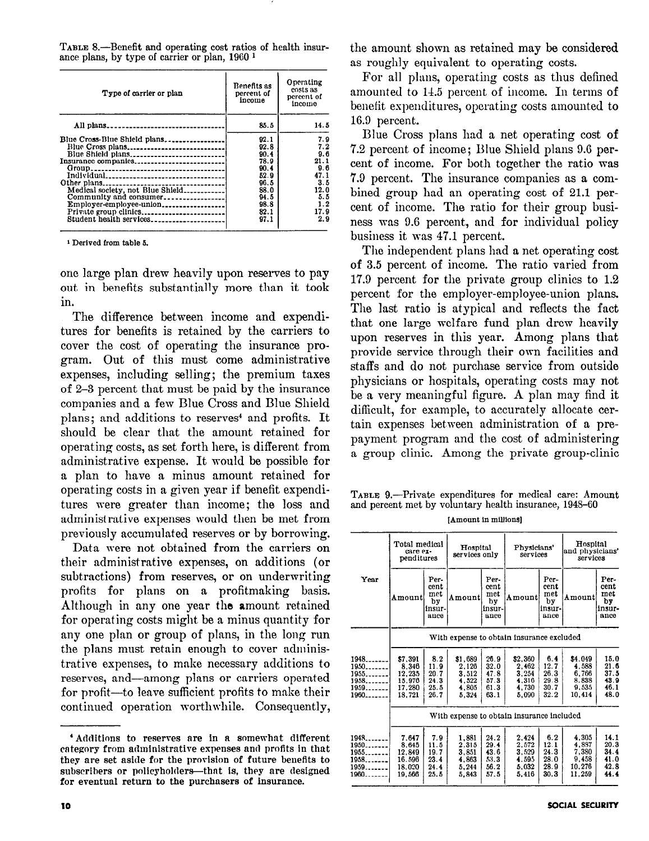TABLE 8.-Benefit and operating cost ratios of health insurance plans, by type of carrier or plan, 1960 1

| Type of carrier or plan          | Benefits as<br>percent of<br>income | Operating<br>costs as<br>percent of<br>income |
|----------------------------------|-------------------------------------|-----------------------------------------------|
| All plans                        | 85.5                                | 14.5                                          |
| Blue Cross-Blue Shield plans     | 92.1                                | 7.9                                           |
|                                  | 92.8                                | 7.2                                           |
|                                  | 90.4                                | 9.6                                           |
| Insurance companies              | 78.9                                | 21.1                                          |
|                                  | 90.4                                | 9.6                                           |
|                                  | 52.9                                | 47.1                                          |
|                                  | 96.5                                | 3.5                                           |
| Medical society, not Blue Shield | 88.0                                | 12.0                                          |
|                                  | 94.5                                | 5.5                                           |
| Employer-employee-union          | 98.8                                | 1.2                                           |
| Private group clinics            | 82.1                                | 17.9                                          |
| Student health services          | 97.1                                | 2.9                                           |

1 Derived from table 6.

one large plan drew heavily upon reserves to pay out in benefits substantially more than it took in.

The difference between income and expenditures for benefits is retained by the carriers to cover the cost of operating the insurance program. Out of this must come administrative expenses, including selling; the premium taxes of 2-3 percent that must be paid by the insurance companies and a few Blue Cross and Blue Shield plans; and additions to reserves<sup>4</sup> and profits. It should be clear that the amount retained for operating costs, as set forth here, is different from administrative expense. It would be possible for a plan to have a minus amount retained for operating costs in a given year if benefit expenditures were greater than income; the loss and administrative expenses would then be met from previously accumulated reserves or by borrowing.

Data were not obtained from the carriers on their administrative expenses, on additions (or subtractions) from reserves, or on underwriting subtractions) from reserves, or on underwiding proms for plans on a prominaxing basis. Although in any one year the amount retained for operating costs might be a minus quantity for any one plan or group of plans, in the long run the plans must retain enough to cover administrative expenses, to make necessary additions to reserves, and—among plans or carriers operated for profit—to leave sufficient profits to make their continued operation worthwhile. Consequently,

<sup>4</sup> Additions to reserves are in a somewhat different category from administrative expenses and profits in that they are set aside for the provision of future benefits to subscribers or policyholders—that is, they are designed for eventual return to the purchasers of insurance.

'Additions to reserve are in a somewhat different control of the somewhat different control of the somewhat different control of the somewhat different control of the somewhat different control of the somewhat different co

the amount shown as retained may be considered as roughly equivalent to operating costs.

For all plans, operating costs as thus defined amounted to 14.5 percent of income. In terms of beuefit expenditures, operating costs amounted to 16.0 percent.

Blue Cross plans had a net operating cost of 7.2 percent of income; Blue Shield plans 9.6 percent of income. For both together the ratio was '7.0 percent. The insurance companies as a combined group had an operating cost of 21.1 percent of income. The ratio for their group business was 0.6 percent, and for individual policy business it was 47.1 percent.

The independent plans had a net operating cost of 3.5 percent of income. The ratio varied from 17.0 percent for the private group clinics to 1.2 percent for the employer-employee-union plans. The last ratio is atypical and reflects the fact that one large welfare fund plan drew heavily upon reserves in this year. Among plans that provide service through their own facilities and staffs and do not purchase service from outside physicians or hospitals, operating costs may not be a very meaningful figure. A plan may find it difficult, for example, to accurately allocate certain expenses between administration of a prepayment program and the cost of administering a group clinic. Among the private group-clinic

| TABLE 9.—Private expenditures for medical care: Amount<br>and percent met by voluntary health insurance, 1948-60 |  |  |  |  |  |  |  |  |
|------------------------------------------------------------------------------------------------------------------|--|--|--|--|--|--|--|--|
| <b>fAmount in millionsl</b>                                                                                      |  |  |  |  |  |  |  |  |

|                                                | Total medical<br>care ex-                              |                                             | Hospital                                           |                                              | Physicians'                                       |                                             | Hospital                                             |                                              |  |  |  |
|------------------------------------------------|--------------------------------------------------------|---------------------------------------------|----------------------------------------------------|----------------------------------------------|---------------------------------------------------|---------------------------------------------|------------------------------------------------------|----------------------------------------------|--|--|--|
|                                                | penditures                                             |                                             |                                                    | services only                                |                                                   | services                                    | and physicians'<br>services                          |                                              |  |  |  |
| Year                                           | Amountl                                                | Per-<br>cent<br>met<br>by<br>insur-<br>ance | Amount                                             | Per-<br>cent<br>met<br>by<br>insur-<br>ance  | Amount                                            | Per-<br>cent<br>met<br>by<br>insur-<br>ance | Amount                                               | Рег-<br>cent<br>met<br>by<br>insur-<br>ance  |  |  |  |
|                                                |                                                        | With expense to obtain insurance excluded   |                                                    |                                              |                                                   |                                             |                                                      |                                              |  |  |  |
| 1948.<br>$1950$<br>1955<br>1958                | \$7,391<br>8,346<br>12.235<br>15.976                   | 8.2<br>11.9<br>20.7<br>24.3                 | \$1,689<br>2.126<br>3.512<br>4.522                 | 26.9<br>32.0<br>47.8<br>57.3                 | \$2,360<br>2.462<br>3.254<br>4.316                | 6.4<br>12.7<br>26.3<br>29.8                 | \$4.049<br>4.588<br>6,766<br>8.838                   | 15.0<br>21.6<br>37.5<br>43.9                 |  |  |  |
| 1959<br>1960                                   | 17.280<br>18.721                                       | 25.5<br>26.7                                | 4.805<br>5.324                                     | 61.3<br>63.1                                 | 4.730<br>5.090                                    | 30.7<br>32.2                                | 9.535<br>10.414                                      | 46.1<br>48.0                                 |  |  |  |
|                                                |                                                        |                                             |                                                    |                                              | With expense to obtain insurance included         |                                             |                                                      |                                              |  |  |  |
| 1948.<br>1950<br>1955<br>1958<br>1959<br>1960. | 7.647<br>8.645<br>12.849<br>16.596<br>18.020<br>19.566 | 7.9<br>11.5<br>19.7<br>23.4<br>24.4<br>25.5 | 1.881<br>2.315<br>3.851<br>4.863<br>5.244<br>5.843 | 24.2<br>29.4<br>43.6<br>53.3<br>56.2<br>57.5 | 2.424<br>2.572<br>3.529<br>4595<br>5,032<br>5.416 | 6.2<br>12.1<br>24.3<br>28.0<br>28.9<br>30.3 | 4.305<br>4.887<br>7,380<br>9.458<br>10.276<br>11.259 | 14.1<br>20.3<br>34.4<br>41.0<br>42.8<br>44.4 |  |  |  |